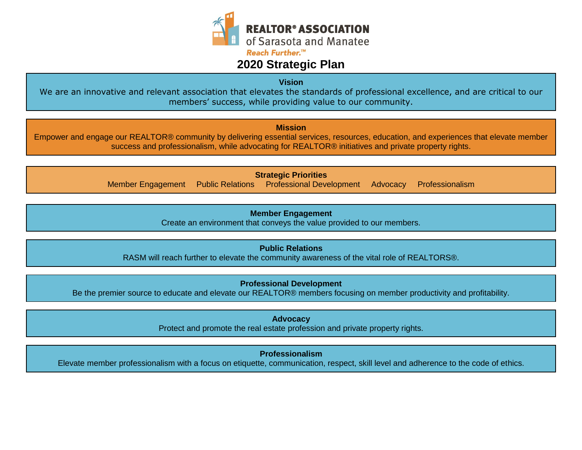

## **2020 Strategic Plan**

**Vision**

We are an innovative and relevant association that elevates the standards of professional excellence, and are critical to our members' success, while providing value to our community.

**Mission**

Empower and engage our REALTOR® community by delivering essential services, resources, education, and experiences that elevate member success and professionalism, while advocating for REALTOR® initiatives and private property rights.

> **Strategic Priorities** Member Engagement Public Relations Professional Development Advocacy Professionalism

> > **Member Engagement**

Create an environment that conveys the value provided to our members.

**Public Relations**

RASM will reach further to elevate the community awareness of the vital role of REALTORS®.

**Professional Development**

Be the premier source to educate and elevate our REALTOR® members focusing on member productivity and profitability.

**Advocacy** Protect and promote the real estate profession and private property rights.

**Professionalism**

Elevate member professionalism with a focus on etiquette, communication, respect, skill level and adherence to the code of ethics.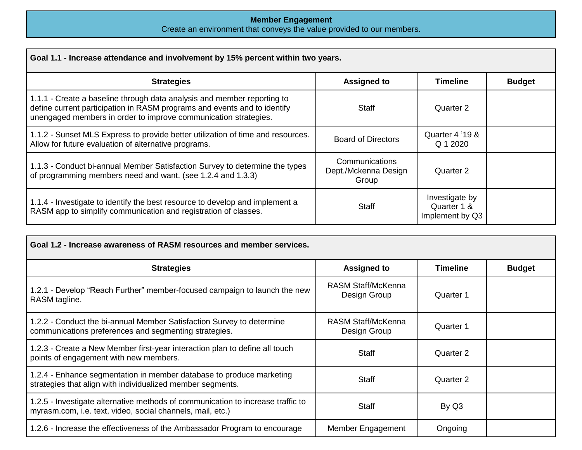#### **Member Engagement** Create an environment that conveys the value provided to our members.

| Goal 1.1 - Increase attendance and involvement by 15% percent within two years.                                                                                                                                        |                                                 |                                                  |               |
|------------------------------------------------------------------------------------------------------------------------------------------------------------------------------------------------------------------------|-------------------------------------------------|--------------------------------------------------|---------------|
| <b>Strategies</b>                                                                                                                                                                                                      | <b>Assigned to</b>                              | <b>Timeline</b>                                  | <b>Budget</b> |
| 1.1.1 - Create a baseline through data analysis and member reporting to<br>define current participation in RASM programs and events and to identify<br>unengaged members in order to improve communication strategies. | Staff                                           | Quarter 2                                        |               |
| 1.1.2 - Sunset MLS Express to provide better utilization of time and resources.<br>Allow for future evaluation of alternative programs.                                                                                | Board of Directors                              | Quarter 4 '19 &<br>Q 1 2020                      |               |
| 1.1.3 - Conduct bi-annual Member Satisfaction Survey to determine the types<br>of programming members need and want. (see 1.2.4 and 1.3.3)                                                                             | Communications<br>Dept./Mckenna Design<br>Group | Quarter 2                                        |               |
| 1.1.4 - Investigate to identify the best resource to develop and implement a<br>RASM app to simplify communication and registration of classes.                                                                        | <b>Staff</b>                                    | Investigate by<br>Quarter 1 &<br>Implement by Q3 |               |

| Goal 1.2 - Increase awareness of RASM resources and member services.                                                                          |                                           |                 |               |
|-----------------------------------------------------------------------------------------------------------------------------------------------|-------------------------------------------|-----------------|---------------|
| <b>Strategies</b>                                                                                                                             | <b>Assigned to</b>                        | <b>Timeline</b> | <b>Budget</b> |
| 1.2.1 - Develop "Reach Further" member-focused campaign to launch the new<br>RASM tagline.                                                    | RASM Staff/McKenna<br>Design Group        | Quarter 1       |               |
| 1.2.2 - Conduct the bi-annual Member Satisfaction Survey to determine<br>communications preferences and segmenting strategies.                | <b>RASM Staff/McKenna</b><br>Design Group | Quarter 1       |               |
| 1.2.3 - Create a New Member first-year interaction plan to define all touch<br>points of engagement with new members.                         | Staff                                     | Quarter 2       |               |
| 1.2.4 - Enhance segmentation in member database to produce marketing<br>strategies that align with individualized member segments.            | <b>Staff</b>                              | Quarter 2       |               |
| 1.2.5 - Investigate alternative methods of communication to increase traffic to<br>myrasm.com, i.e. text, video, social channels, mail, etc.) | <b>Staff</b>                              | By Q3           |               |
| 1.2.6 - Increase the effectiveness of the Ambassador Program to encourage                                                                     | Member Engagement                         | Ongoing         |               |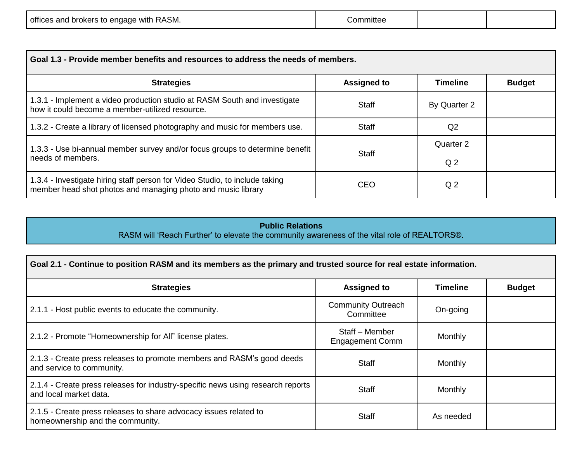| offices and brokers to engage with RASM. | :nmmitter |  |  |
|------------------------------------------|-----------|--|--|
|------------------------------------------|-----------|--|--|

| Goal 1.3 - Provide member benefits and resources to address the needs of members.                                                           |                    |                 |               |
|---------------------------------------------------------------------------------------------------------------------------------------------|--------------------|-----------------|---------------|
| <b>Strategies</b>                                                                                                                           | <b>Assigned to</b> | <b>Timeline</b> | <b>Budget</b> |
| 1.3.1 - Implement a video production studio at RASM South and investigate<br>how it could become a member-utilized resource.                | Staff              | By Quarter 2    |               |
| 1.3.2 - Create a library of licensed photography and music for members use.                                                                 | <b>Staff</b>       | Q <sub>2</sub>  |               |
| 1.3.3 - Use bi-annual member survey and/or focus groups to determine benefit                                                                | <b>Staff</b>       | Quarter 2       |               |
| needs of members.                                                                                                                           |                    | Q <sub>2</sub>  |               |
| 1.3.4 - Investigate hiring staff person for Video Studio, to include taking<br>member head shot photos and managing photo and music library | <b>CEO</b>         | Q <sub>2</sub>  |               |

### **Public Relations**

RASM will 'Reach Further' to elevate the community awareness of the vital role of REALTORS®.

| Goal 2.1 - Continue to position RASM and its members as the primary and trusted source for real estate information. |                                          |                 |               |
|---------------------------------------------------------------------------------------------------------------------|------------------------------------------|-----------------|---------------|
| <b>Strategies</b>                                                                                                   | <b>Assigned to</b>                       | <b>Timeline</b> | <b>Budget</b> |
| 2.1.1 - Host public events to educate the community.                                                                | <b>Community Outreach</b><br>Committee   | On-going        |               |
| 2.1.2 - Promote "Homeownership for All" license plates.                                                             | Staff – Member<br><b>Engagement Comm</b> | Monthly         |               |
| 2.1.3 - Create press releases to promote members and RASM's good deeds<br>and service to community.                 | <b>Staff</b>                             | Monthly         |               |
| 2.1.4 - Create press releases for industry-specific news using research reports<br>and local market data.           | Staff                                    | Monthly         |               |
| 2.1.5 - Create press releases to share advocacy issues related to<br>homeownership and the community.               | <b>Staff</b>                             | As needed       |               |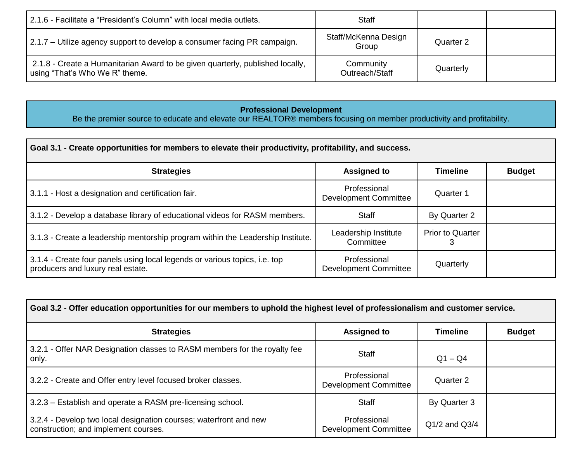| 2.1.6 - Facilitate a "President's Column" with local media outlets.                                             | <b>Staff</b>                  |           |  |
|-----------------------------------------------------------------------------------------------------------------|-------------------------------|-----------|--|
| 2.1.7 – Utilize agency support to develop a consumer facing PR campaign.                                        | Staff/McKenna Design<br>Group | Quarter 2 |  |
| 2.1.8 - Create a Humanitarian Award to be given quarterly, published locally,<br>using "That's Who We R" theme. | Community<br>Outreach/Staff   | Quarterly |  |

### **Professional Development**

Be the premier source to educate and elevate our REALTOR® members focusing on member productivity and profitability.

| Goal 3.1 - Create opportunities for members to elevate their productivity, profitability, and success.          |                                              |                         |               |
|-----------------------------------------------------------------------------------------------------------------|----------------------------------------------|-------------------------|---------------|
| <b>Strategies</b>                                                                                               | <b>Assigned to</b>                           | <b>Timeline</b>         | <b>Budget</b> |
| 3.1.1 - Host a designation and certification fair.                                                              | Professional<br>Development Committee        | Quarter 1               |               |
| 3.1.2 - Develop a database library of educational videos for RASM members.                                      | <b>Staff</b>                                 | By Quarter 2            |               |
| 3.1.3 - Create a leadership mentorship program within the Leadership Institute.                                 | Leadership Institute<br>Committee            | <b>Prior to Quarter</b> |               |
| 3.1.4 - Create four panels using local legends or various topics, i.e. top<br>producers and luxury real estate. | Professional<br><b>Development Committee</b> | Quarterly               |               |

| Goal 3.2 - Offer education opportunities for our members to uphold the highest level of professionalism and customer service. |                                              |                   |               |
|-------------------------------------------------------------------------------------------------------------------------------|----------------------------------------------|-------------------|---------------|
| <b>Strategies</b>                                                                                                             | <b>Assigned to</b>                           | <b>Timeline</b>   | <b>Budget</b> |
| 3.2.1 - Offer NAR Designation classes to RASM members for the royalty fee<br>only.                                            | <b>Staff</b>                                 | $Q1 - Q4$         |               |
| 3.2.2 - Create and Offer entry level focused broker classes.                                                                  | Professional<br>Development Committee        | Quarter 2         |               |
| 3.2.3 – Establish and operate a RASM pre-licensing school.                                                                    | <b>Staff</b>                                 | By Quarter 3      |               |
| 3.2.4 - Develop two local designation courses; waterfront and new<br>construction; and implement courses.                     | Professional<br><b>Development Committee</b> | $Q1/2$ and $Q3/4$ |               |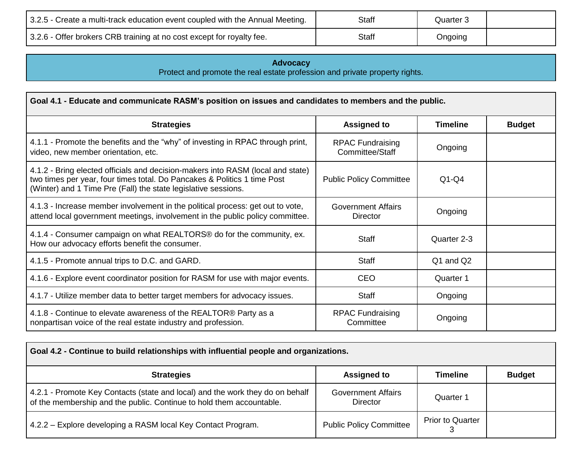| 3.2.5 - Create a multi-track education event coupled with the Annual Meeting. | <b>Staff</b> | Quarter 3 |  |
|-------------------------------------------------------------------------------|--------------|-----------|--|
| 3.2.6 - Offer brokers CRB training at no cost except for royalty fee.         | <b>Staff</b> | Ongoing   |  |

**Advocacy** Protect and promote the real estate profession and private property rights.

| Goal 4.1 - Educate and communicate RASM's position on issues and candidates to members and the public.                                                                                                                        |                                              |                 |               |
|-------------------------------------------------------------------------------------------------------------------------------------------------------------------------------------------------------------------------------|----------------------------------------------|-----------------|---------------|
| <b>Strategies</b>                                                                                                                                                                                                             | <b>Assigned to</b>                           | <b>Timeline</b> | <b>Budget</b> |
| 4.1.1 - Promote the benefits and the "why" of investing in RPAC through print,<br>video, new member orientation, etc.                                                                                                         | <b>RPAC Fundraising</b><br>Committee/Staff   | Ongoing         |               |
| 4.1.2 - Bring elected officials and decision-makers into RASM (local and state)<br>two times per year, four times total. Do Pancakes & Politics 1 time Post<br>(Winter) and 1 Time Pre (Fall) the state legislative sessions. | <b>Public Policy Committee</b>               | $Q1-Q4$         |               |
| 4.1.3 - Increase member involvement in the political process: get out to vote,<br>attend local government meetings, involvement in the public policy committee.                                                               | <b>Government Affairs</b><br><b>Director</b> | Ongoing         |               |
| 4.1.4 - Consumer campaign on what REALTORS® do for the community, ex.<br>How our advocacy efforts benefit the consumer.                                                                                                       | <b>Staff</b>                                 | Quarter 2-3     |               |
| 4.1.5 - Promote annual trips to D.C. and GARD.                                                                                                                                                                                | <b>Staff</b>                                 | Q1 and Q2       |               |
| 4.1.6 - Explore event coordinator position for RASM for use with major events.                                                                                                                                                | <b>CEO</b>                                   | Quarter 1       |               |
| 4.1.7 - Utilize member data to better target members for advocacy issues.                                                                                                                                                     | <b>Staff</b>                                 | Ongoing         |               |
| 4.1.8 - Continue to elevate awareness of the REALTOR® Party as a<br>nonpartisan voice of the real estate industry and profession.                                                                                             | <b>RPAC Fundraising</b><br>Committee         | Ongoing         |               |

| Goal 4.2 - Continue to build relationships with influential people and organizations.                                                                 |                                       |                         |               |
|-------------------------------------------------------------------------------------------------------------------------------------------------------|---------------------------------------|-------------------------|---------------|
| <b>Strategies</b>                                                                                                                                     | <b>Assigned to</b>                    | <b>Timeline</b>         | <b>Budget</b> |
| 4.2.1 - Promote Key Contacts (state and local) and the work they do on behalf<br>of the membership and the public. Continue to hold them accountable. | <b>Government Affairs</b><br>Director | Quarter 1               |               |
| 4.2.2 – Explore developing a RASM local Key Contact Program.                                                                                          | <b>Public Policy Committee</b>        | <b>Prior to Quarter</b> |               |